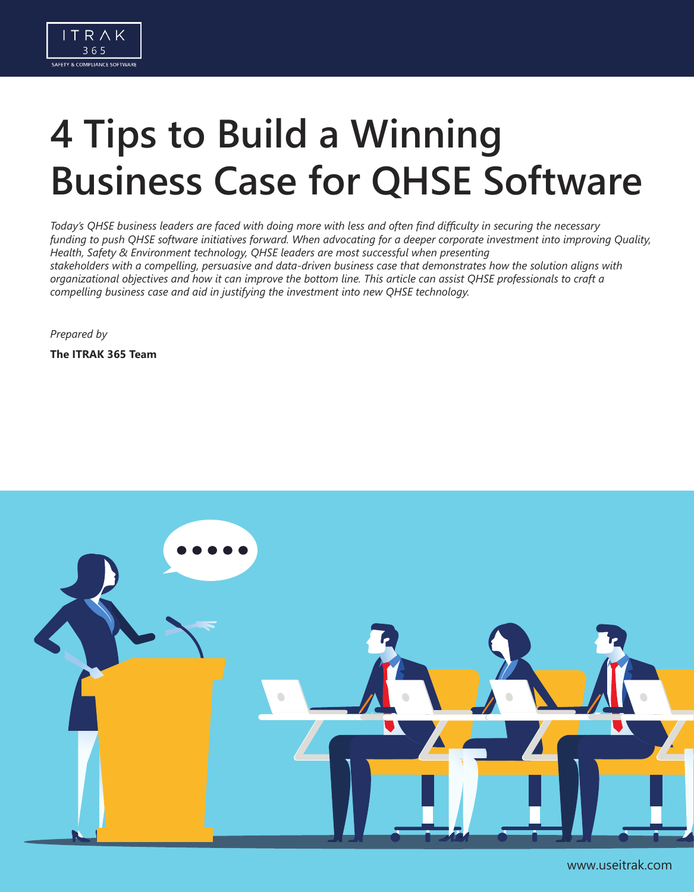

# **4 Tips to Build a Winning Business Case for QHSE Software**

*Today's QHSE business leaders are faced with doing more with less and often find difficulty in securing the necessary funding to push QHSE software initiatives forward. When advocating for a deeper corporate investment into improving Quality, Health, Safety & Environment technology, QHSE leaders are most successful when presenting stakeholders with a compelling, persuasive and data-driven business case that demonstrates how the solution aligns with organizational objectives and how it can improve the bottom line. This article can assist QHSE professionals to craft a compelling business case and aid in justifying the investment into new QHSE technology.*

*Prepared by*

**The ITRAK 365 Team**



www.useitrak.com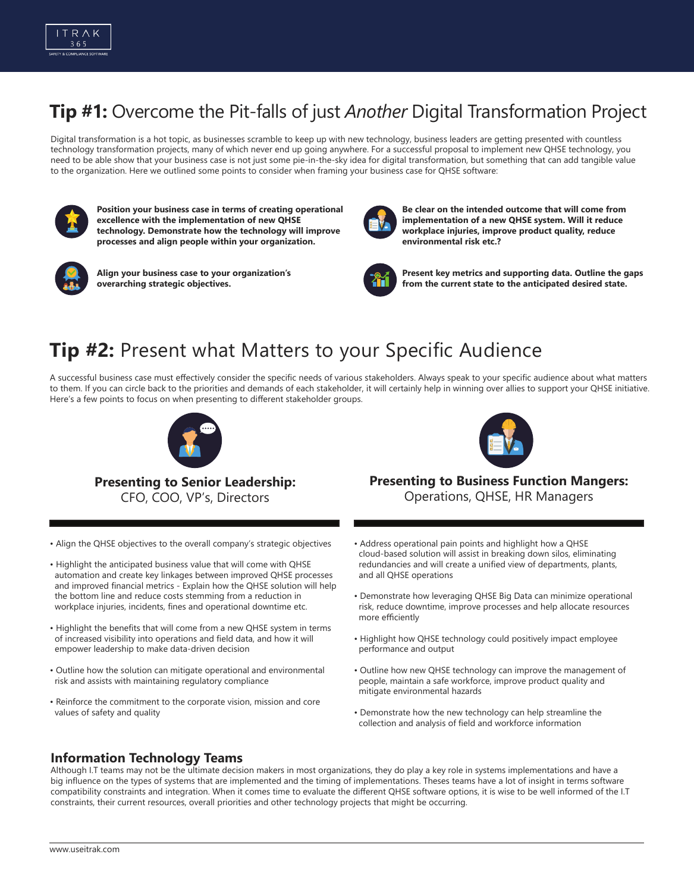

## **Tip #1:** Overcome the Pit-falls of just *Another* Digital Transformation Project

Digital transformation is a hot topic, as businesses scramble to keep up with new technology, business leaders are getting presented with countless technology transformation projects, many of which never end up going anywhere. For a successful proposal to implement new QHSE technology, you need to be able show that your business case is not just some pie-in-the-sky idea for digital transformation, but something that can add tangible value to the organization. Here we outlined some points to consider when framing your business case for QHSE software:



**Position your business case in terms of creating operational excellence with the implementation of new QHSE technology. Demonstrate how the technology will improve processes and align people within your organization.**



**Align your business case to your organization's overarching strategic objectives.**



**Be clear on the intended outcome that will come from implementation of a new QHSE system. Will it reduce workplace injuries, improve product quality, reduce environmental risk etc.?**



**Present key metrics and supporting data. Outline the gaps from the current state to the anticipated desired state.**

## **Tip #2:** Present what Matters to your Specific Audience

A successful business case must effectively consider the specific needs of various stakeholders. Always speak to your specific audience about what matters to them. If you can circle back to the priorities and demands of each stakeholder, it will certainly help in winning over allies to support your QHSE initiative. Here's a few points to focus on when presenting to different stakeholder groups.





**Presenting to Business Function Mangers:** Operations, QHSE, HR Managers

**Presenting to Senior Leadership:** 

CFO, COO, VP's, Directors

• Align the QHSE objectives to the overall company's strategic objectives

• Highlight the benefits that will come from a new QHSE system in terms of increased visibility into operations and field data, and how it will

• Outline how the solution can mitigate operational and environmental

• Reinforce the commitment to the corporate vision, mission and core

• Highlight the anticipated business value that will come with QHSE automation and create key linkages between improved QHSE processes and improved financial metrics - Explain how the QHSE solution will help the bottom line and reduce costs stemming from a reduction in workplace injuries, incidents, fines and operational downtime etc.

• Address operational pain points and highlight how a QHSE cloud-based solution will assist in breaking down silos, eliminating redundancies and will create a unified view of departments, plants,

and all QHSE operations

- Demonstrate how leveraging QHSE Big Data can minimize operational risk, reduce downtime, improve processes and help allocate resources more efficiently
- Highlight how QHSE technology could positively impact employee performance and output
- Outline how new QHSE technology can improve the management of people, maintain a safe workforce, improve product quality and mitigate environmental hazards
- Demonstrate how the new technology can help streamline the collection and analysis of field and workforce information

#### **Information Technology Teams**

values of safety and quality

empower leadership to make data-driven decision

risk and assists with maintaining regulatory compliance

Although I.T teams may not be the ultimate decision makers in most organizations, they do play a key role in systems implementations and have a big influence on the types of systems that are implemented and the timing of implementations. Theses teams have a lot of insight in terms software compatibility constraints and integration. When it comes time to evaluate the different QHSE software options, it is wise to be well informed of the I.T constraints, their current resources, overall priorities and other technology projects that might be occurring.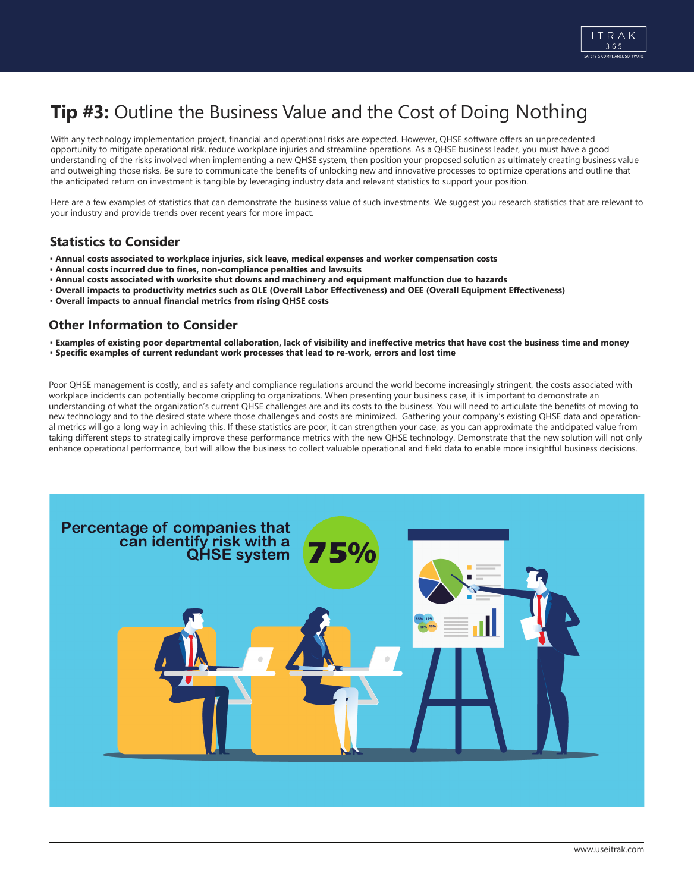

## **Tip #3:** Outline the Business Value and the Cost of Doing Nothing

With any technology implementation project, financial and operational risks are expected. However, QHSE software offers an unprecedented opportunity to mitigate operational risk, reduce workplace injuries and streamline operations. As a QHSE business leader, you must have a good understanding of the risks involved when implementing a new QHSE system, then position your proposed solution as ultimately creating business value and outweighing those risks. Be sure to communicate the benefits of unlocking new and innovative processes to optimize operations and outline that the anticipated return on investment is tangible by leveraging industry data and relevant statistics to support your position.

Here are a few examples of statistics that can demonstrate the business value of such investments. We suggest you research statistics that are relevant to your industry and provide trends over recent years for more impact.

### **Statistics to Consider**

- **Annual costs associated to workplace injuries, sick leave, medical expenses and worker compensation costs**
- **Annual costs incurred due to fines, non-compliance penalties and lawsuits**
- **Annual costs associated with worksite shut downs and machinery and equipment malfunction due to hazards**
- **Overall impacts to productivity metrics such as OLE (Overall Labor Effectiveness) and OEE (Overall Equipment Effectiveness)**
- **Overall impacts to annual financial metrics from rising QHSE costs**

### **Other Information to Consider**

- **Examples of existing poor departmental collaboration, lack of visibility and ineffective metrics that have cost the business time and money**
- **Specific examples of current redundant work processes that lead to re-work, errors and lost time**

Poor QHSE management is costly, and as safety and compliance regulations around the world become increasingly stringent, the costs associated with workplace incidents can potentially become crippling to organizations. When presenting your business case, it is important to demonstrate an understanding of what the organization's current QHSE challenges are and its costs to the business. You will need to articulate the benefits of moving to new technology and to the desired state where those challenges and costs are minimized. Gathering your company's existing QHSE data and operational metrics will go a long way in achieving this. If these statistics are poor, it can strengthen your case, as you can approximate the anticipated value from taking different steps to strategically improve these performance metrics with the new QHSE technology. Demonstrate that the new solution will not only enhance operational performance, but will allow the business to collect valuable operational and field data to enable more insightful business decisions.